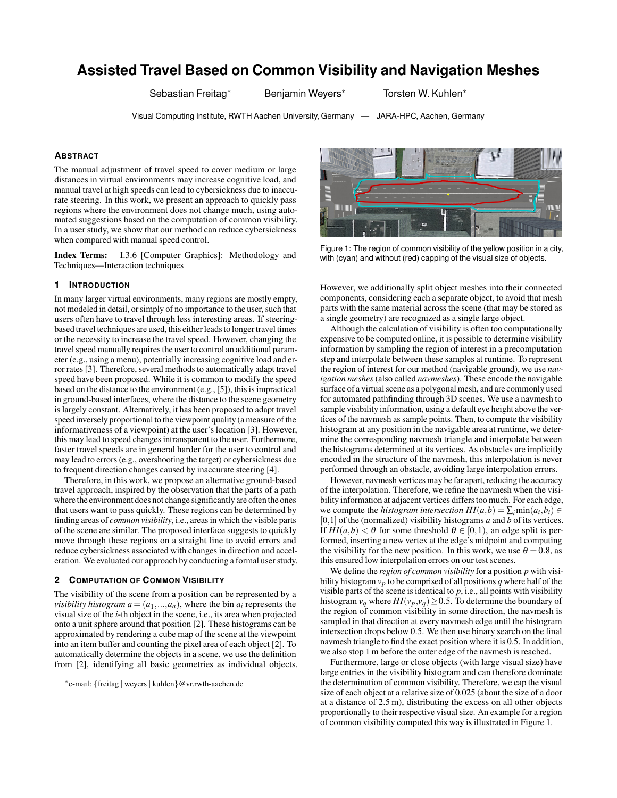# **Assisted Travel Based on Common Visibility and Navigation Meshes**

Sebastian Freitag<sup>∗</sup> Benjamin Weyers<sup>∗</sup> Torsten W. Kuhlen<sup>∗</sup>

Visual Computing Institute, RWTH Aachen University, Germany — JARA-HPC, Aachen, Germany

# **ABSTRACT**

The manual adjustment of travel speed to cover medium or large distances in virtual environments may increase cognitive load, and manual travel at high speeds can lead to cybersickness due to inaccurate steering. In this work, we present an approach to quickly pass regions where the environment does not change much, using automated suggestions based on the computation of common visibility. In a user study, we show that our method can reduce cybersickness when compared with manual speed control.

Index Terms: I.3.6 [Computer Graphics]: Methodology and Techniques—Interaction techniques

# **1 INTRODUCTION**

In many larger virtual environments, many regions are mostly empty, not modeled in detail, or simply of no importance to the user, such that users often have to travel through less interesting areas. If steeringbased travel techniques are used, this either leads to longer travel times or the necessity to increase the travel speed. However, changing the travel speed manually requires the user to control an additional parameter (e.g., using a menu), potentially increasing cognitive load and error rates [3]. Therefore, several methods to automatically adapt travel speed have been proposed. While it is common to modify the speed based on the distance to the environment (e.g., [5]), this is impractical in ground-based interfaces, where the distance to the scene geometry is largely constant. Alternatively, it has been proposed to adapt travel speed inversely proportional to the viewpoint quality (a measure of the informativeness of a viewpoint) at the user's location [3]. However, this may lead to speed changes intransparent to the user. Furthermore, faster travel speeds are in general harder for the user to control and may lead to errors (e.g., overshooting the target) or cybersickness due to frequent direction changes caused by inaccurate steering [4].

Therefore, in this work, we propose an alternative ground-based travel approach, inspired by the observation that the parts of a path where the environment does not change significantly are often the ones that users want to pass quickly. These regions can be determined by finding areas of *common visibility*, i.e., areas in which the visible parts of the scene are similar. The proposed interface suggests to quickly move through these regions on a straight line to avoid errors and reduce cybersickness associated with changes in direction and acceleration. We evaluated our approach by conducting a formal user study.

## **2 COMPUTATION OF COMMON VISIBILITY**

The visibility of the scene from a position can be represented by a *visibility histogram*  $a = (a_1, \ldots, a_n)$ , where the bin  $a_i$  represents the visual size of the *i*-th object in the scene, i.e., its area when projected onto a unit sphere around that position [2]. These histograms can be approximated by rendering a cube map of the scene at the viewpoint into an item buffer and counting the pixel area of each object [2]. To automatically determine the objects in a scene, we use the definition from [2], identifying all basic geometries as individual objects.



Figure 1: The region of common visibility of the yellow position in a city, with (cyan) and without (red) capping of the visual size of objects.

However, we additionally split object meshes into their connected components, considering each a separate object, to avoid that mesh parts with the same material across the scene (that may be stored as a single geometry) are recognized as a single large object.

Although the calculation of visibility is often too computationally expensive to be computed online, it is possible to determine visibility information by sampling the region of interest in a precomputation step and interpolate between these samples at runtime. To represent the region of interest for our method (navigable ground), we use *navigation meshes* (also called *navmeshes*). These encode the navigable surface of a virtual scene as a polygonal mesh, and are commonly used for automated pathfinding through 3D scenes. We use a navmesh to sample visibility information, using a default eye height above the vertices of the navmesh as sample points. Then, to compute the visibility histogram at any position in the navigable area at runtime, we determine the corresponding navmesh triangle and interpolate between the histograms determined at its vertices. As obstacles are implicitly encoded in the structure of the navmesh, this interpolation is never performed through an obstacle, avoiding large interpolation errors.

However, navmesh vertices may be far apart, reducing the accuracy of the interpolation. Therefore, we refine the navmesh when the visibility information at adjacent vertices differs too much. For each edge, we compute the *histogram intersection*  $HI(a,b) = \sum_i \min(a_i,b_i) \in$ [0,1] of the (normalized) visibility histograms *a* and *b* of its vertices. If  $HI(a,b) < \theta$  for some threshold  $\theta \in [0,1)$ , an edge split is performed, inserting a new vertex at the edge's midpoint and computing the visibility for the new position. In this work, we use  $\theta = 0.8$ , as this ensured low interpolation errors on our test scenes.

We define the *region of common visibility* for a position *p* with visibility histogram  $v_p$  to be comprised of all positions  $q$  where half of the visible parts of the scene is identical to  $p$ , i.e., all points with visibility histogram  $v_q$  where  $HI(v_p, v_q) \geq 0.5$ . To determine the boundary of the region of common visibility in some direction, the navmesh is sampled in that direction at every navmesh edge until the histogram intersection drops below 0.5. We then use binary search on the final navmesh triangle to find the exact position where it is 0.5. In addition, we also stop 1 m before the outer edge of the navmesh is reached.

Furthermore, large or close objects (with large visual size) have large entries in the visibility histogram and can therefore dominate the determination of common visibility. Therefore, we cap the visual size of each object at a relative size of 0.025 (about the size of a door at a distance of 2.5 m), distributing the excess on all other objects proportionally to their respective visual size. An example for a region of common visibility computed this way is illustrated in Figure 1.

<sup>∗</sup> e-mail: {freitag | weyers | kuhlen}@vr.rwth-aachen.de